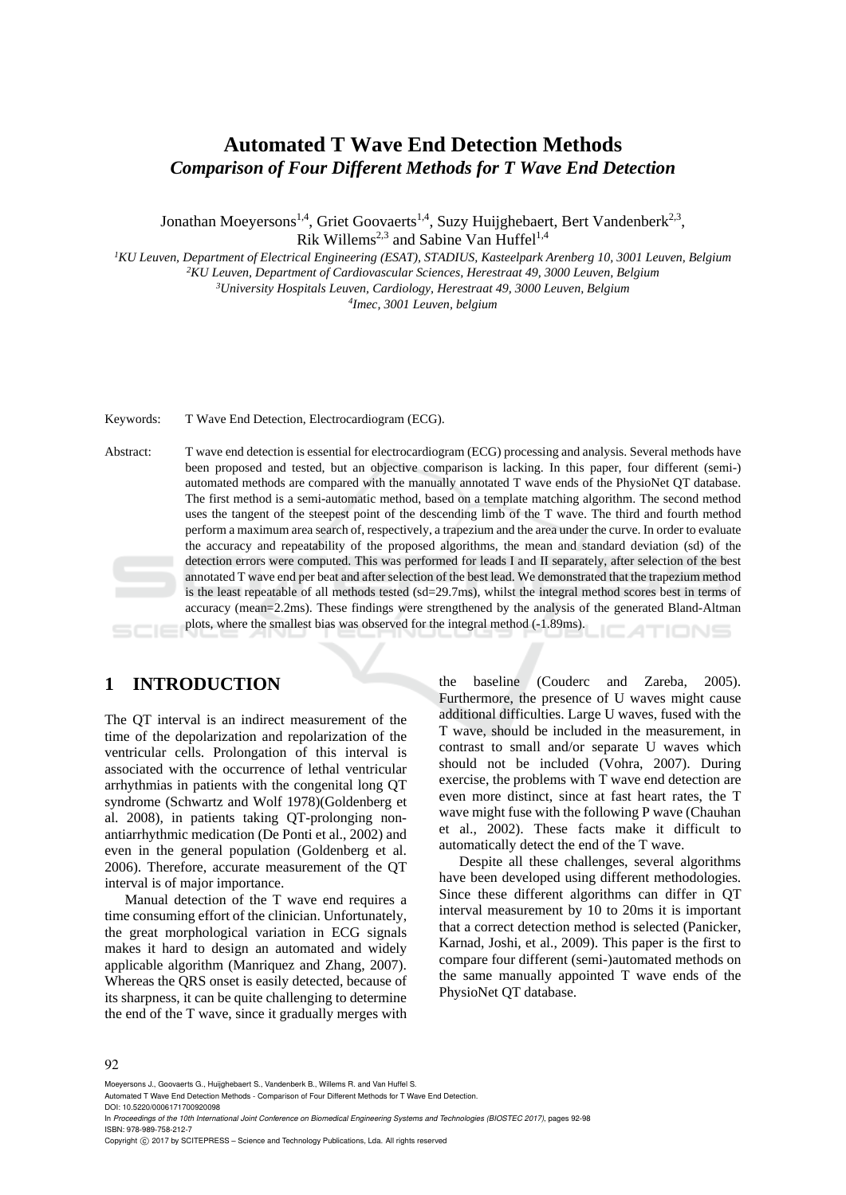## **Automated T Wave End Detection Methods**  *Comparison of Four Different Methods for T Wave End Detection*

Jonathan Moeyersons<sup>1,4</sup>, Griet Goovaerts<sup>1,4</sup>, Suzy Huijghebaert, Bert Vandenberk<sup>2,3</sup>, Rik Willems<sup>2,3</sup> and Sabine Van Huffel<sup>1,4</sup>

<sup>1</sup>KU Leuven, Department of Electrical Engineering (ESAT), STADIUS, Kasteelpark Arenberg 10, 3001 Leuven, Belgium<br><sup>2</sup>KU Leuven, Department of Cardiovascular Sciences, Herestraat 49, 3000 Leuven, Belgium<sup>2</sup>KU Leuven, Pepar

*Imec, 3001 Leuven, belgium* 

Keywords: T Wave End Detection, Electrocardiogram (ECG).

Abstract: T wave end detection is essential for electrocardiogram (ECG) processing and analysis. Several methods have been proposed and tested, but an objective comparison is lacking. In this paper, four different (semi-) automated methods are compared with the manually annotated T wave ends of the PhysioNet QT database. The first method is a semi-automatic method, based on a template matching algorithm. The second method uses the tangent of the steepest point of the descending limb of the T wave. The third and fourth method perform a maximum area search of, respectively, a trapezium and the area under the curve. In order to evaluate the accuracy and repeatability of the proposed algorithms, the mean and standard deviation (sd) of the detection errors were computed. This was performed for leads I and II separately, after selection of the best annotated T wave end per beat and after selection of the best lead. We demonstrated that the trapezium method is the least repeatable of all methods tested (sd=29.7ms), whilst the integral method scores best in terms of accuracy (mean=2.2ms). These findings were strengthened by the analysis of the generated Bland-Altman plots, where the smallest bias was observed for the integral method (-1.89ms). TIONS

## **1 INTRODUCTION**

The QT interval is an indirect measurement of the time of the depolarization and repolarization of the ventricular cells. Prolongation of this interval is associated with the occurrence of lethal ventricular arrhythmias in patients with the congenital long QT syndrome (Schwartz and Wolf 1978)(Goldenberg et al. 2008), in patients taking QT-prolonging nonantiarrhythmic medication (De Ponti et al., 2002) and even in the general population (Goldenberg et al. 2006). Therefore, accurate measurement of the QT interval is of major importance.

Manual detection of the T wave end requires a time consuming effort of the clinician. Unfortunately, the great morphological variation in ECG signals makes it hard to design an automated and widely applicable algorithm (Manriquez and Zhang, 2007). Whereas the QRS onset is easily detected, because of its sharpness, it can be quite challenging to determine the end of the T wave, since it gradually merges with

the baseline (Couderc and Zareba, 2005). Furthermore, the presence of U waves might cause additional difficulties. Large U waves, fused with the T wave, should be included in the measurement, in contrast to small and/or separate U waves which should not be included (Vohra, 2007). During exercise, the problems with T wave end detection are even more distinct, since at fast heart rates, the T wave might fuse with the following P wave (Chauhan et al., 2002). These facts make it difficult to automatically detect the end of the T wave.

Despite all these challenges, several algorithms have been developed using different methodologies. Since these different algorithms can differ in QT interval measurement by 10 to 20ms it is important that a correct detection method is selected (Panicker, Karnad, Joshi, et al., 2009). This paper is the first to compare four different (semi-)automated methods on the same manually appointed T wave ends of the PhysioNet QT database.

#### 92

Moeyersons J., Goovaerts G., Huijghebaert S., Vandenberk B., Willems R. and Van Huffel S.

Automated T Wave End Detection Methods - Comparison of Four Different Methods for T Wave End Detection. DOI: 10.5220/0006171700920098

In *Proceedings of the 10th International Joint Conference on Biomedical Engineering Systems and Technologies (BIOSTEC 2017)*, pages 92-98 ISBN: 978-989-758-212-7

Copyright © 2017 by SCITEPRESS - Science and Technology Publications, Lda. All rights reserved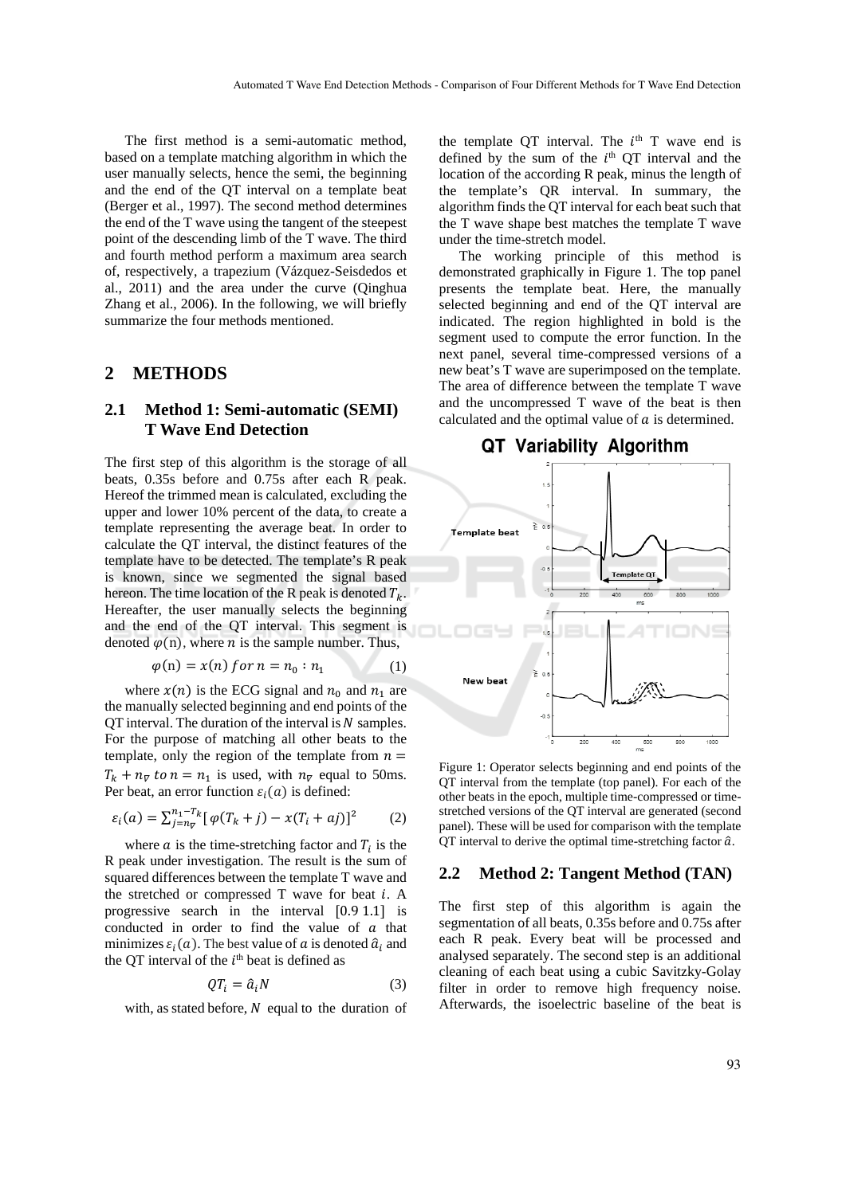The first method is a semi-automatic method, based on a template matching algorithm in which the user manually selects, hence the semi, the beginning and the end of the QT interval on a template beat (Berger et al., 1997). The second method determines the end of the T wave using the tangent of the steepest point of the descending limb of the T wave. The third and fourth method perform a maximum area search of, respectively, a trapezium (Vázquez-Seisdedos et al., 2011) and the area under the curve (Qinghua Zhang et al., 2006). In the following, we will briefly summarize the four methods mentioned.

### **2 METHODS**

## **2.1 Method 1: Semi-automatic (SEMI) T Wave End Detection**

The first step of this algorithm is the storage of all beats, 0.35s before and 0.75s after each R peak. Hereof the trimmed mean is calculated, excluding the upper and lower 10% percent of the data, to create a template representing the average beat. In order to calculate the QT interval, the distinct features of the template have to be detected. The template's R peak is known, since we segmented the signal based hereon. The time location of the R peak is denoted  $T_k$ . Hereafter, the user manually selects the beginning and the end of the QT interval. This segment is denoted  $\varphi(n)$ , where *n* is the sample number. Thus,

$$
\varphi(n) = x(n) \text{ for } n = n_0 : n_1 \tag{1}
$$

where  $x(n)$  is the ECG signal and  $n_0$  and  $n_1$  are the manually selected beginning and end points of the  $\overline{OT}$  interval. The duration of the interval is  $N$  samples. For the purpose of matching all other beats to the template, only the region of the template from  $n =$  $T_k + n_{\overline{v}}$  to  $n = n_1$  is used, with  $n_{\overline{v}}$  equal to 50ms. Per beat, an error function  $\varepsilon_i(a)$  is defined:

$$
\varepsilon_i(a) = \sum_{j=n_{\nabla}}^{n_1 - T_k} [\varphi(T_k + j) - x(T_i + aj)]^2 \tag{2}
$$

where  $\alpha$  is the time-stretching factor and  $T_i$  is the R peak under investigation. The result is the sum of squared differences between the template T wave and the stretched or compressed  $T$  wave for beat  $i$ . A progressive search in the interval [0.9 1.1] is conducted in order to find the value of  $a$  that minimizes  $\varepsilon_i(a)$ . The best value of a is denoted  $\hat{a}_i$  and the QT interval of the  $i<sup>th</sup>$  beat is defined as

$$
QT_i = \hat{a}_i N \tag{3}
$$

with, as stated before,  $N$  equal to the duration of

the template QT interval. The  $i<sup>th</sup>$  T wave end is defined by the sum of the  $i<sup>th</sup>$  QT interval and the location of the according R peak, minus the length of the template's QR interval. In summary, the algorithm finds the QT interval for each beat such that the T wave shape best matches the template T wave under the time-stretch model.

The working principle of this method is demonstrated graphically in Figure 1. The top panel presents the template beat. Here, the manually selected beginning and end of the QT interval are indicated. The region highlighted in bold is the segment used to compute the error function. In the next panel, several time-compressed versions of a new beat's T wave are superimposed on the template. The area of difference between the template T wave and the uncompressed T wave of the beat is then calculated and the optimal value of  $\alpha$  is determined.

#### QT Variability Algorithm



Figure 1: Operator selects beginning and end points of the QT interval from the template (top panel). For each of the other beats in the epoch, multiple time-compressed or timestretched versions of the QT interval are generated (second panel). These will be used for comparison with the template QT interval to derive the optimal time-stretching factor  $\hat{a}$ .

#### **2.2 Method 2: Tangent Method (TAN)**

The first step of this algorithm is again the segmentation of all beats, 0.35s before and 0.75s after each R peak. Every beat will be processed and analysed separately. The second step is an additional cleaning of each beat using a cubic Savitzky-Golay filter in order to remove high frequency noise. Afterwards, the isoelectric baseline of the beat is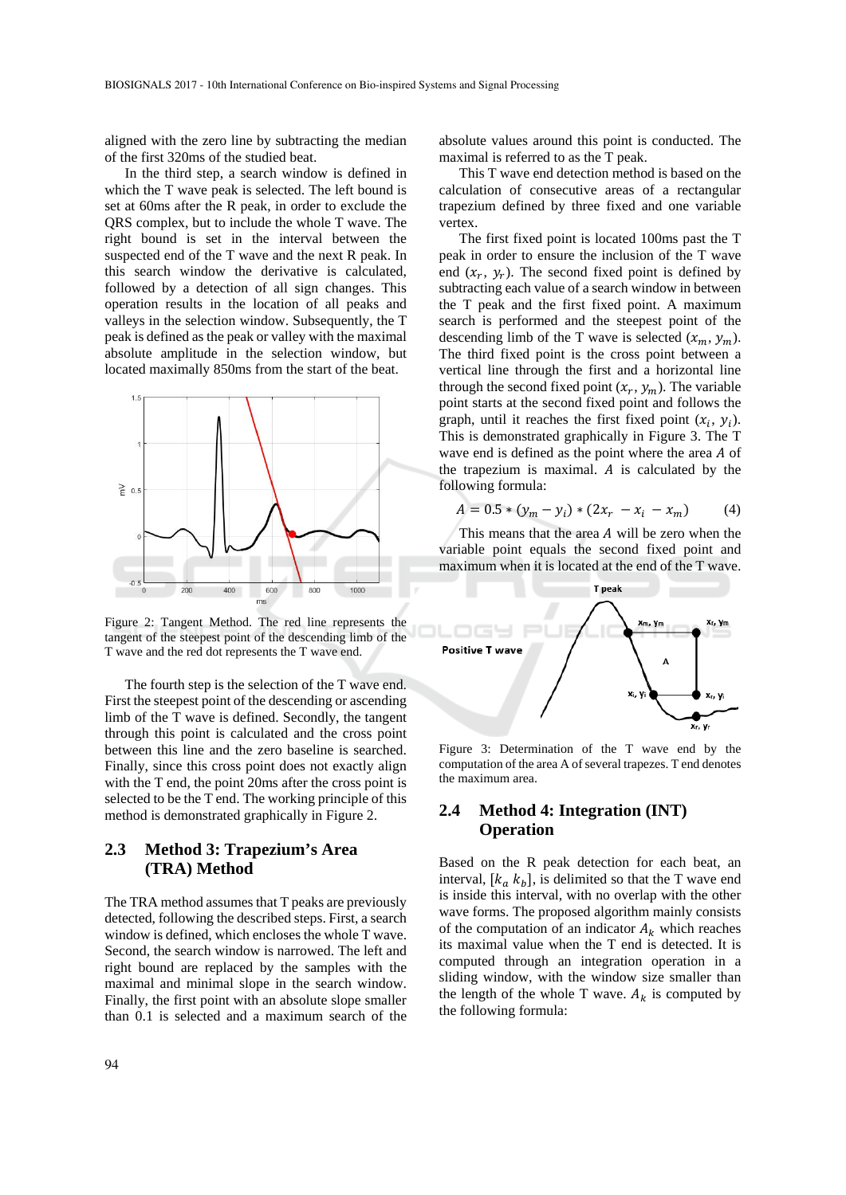aligned with the zero line by subtracting the median of the first 320ms of the studied beat.

In the third step, a search window is defined in which the T wave peak is selected. The left bound is set at 60ms after the R peak, in order to exclude the QRS complex, but to include the whole T wave. The right bound is set in the interval between the suspected end of the T wave and the next R peak. In this search window the derivative is calculated, followed by a detection of all sign changes. This operation results in the location of all peaks and valleys in the selection window. Subsequently, the T peak is defined as the peak or valley with the maximal absolute amplitude in the selection window, but located maximally 850ms from the start of the beat.



Figure 2: Tangent Method. The red line represents the tangent of the steepest point of the descending limb of the T wave and the red dot represents the T wave end.

The fourth step is the selection of the T wave end. First the steepest point of the descending or ascending limb of the T wave is defined. Secondly, the tangent through this point is calculated and the cross point between this line and the zero baseline is searched. Finally, since this cross point does not exactly align with the T end, the point 20ms after the cross point is selected to be the T end. The working principle of this method is demonstrated graphically in Figure 2.

## **2.3 Method 3: Trapezium's Area (TRA) Method**

The TRA method assumes that T peaks are previously detected, following the described steps. First, a search window is defined, which encloses the whole T wave. Second, the search window is narrowed. The left and right bound are replaced by the samples with the maximal and minimal slope in the search window. Finally, the first point with an absolute slope smaller than 0.1 is selected and a maximum search of the absolute values around this point is conducted. The maximal is referred to as the T peak.

This T wave end detection method is based on the calculation of consecutive areas of a rectangular trapezium defined by three fixed and one variable vertex.

The first fixed point is located 100ms past the T peak in order to ensure the inclusion of the T wave end  $(x_r, y_r)$ . The second fixed point is defined by subtracting each value of a search window in between the T peak and the first fixed point. A maximum search is performed and the steepest point of the descending limb of the T wave is selected  $(x_m, y_m)$ . The third fixed point is the cross point between a vertical line through the first and a horizontal line through the second fixed point  $(x_r, y_m)$ . The variable point starts at the second fixed point and follows the graph, until it reaches the first fixed point  $(x_i, y_i)$ . This is demonstrated graphically in Figure 3. The T wave end is defined as the point where the area  $A$  of the trapezium is maximal.  $A$  is calculated by the following formula:

$$
A = 0.5 * (y_m - y_i) * (2x_r - x_i - x_m)
$$
 (4)

This means that the area  $A$  will be zero when the variable point equals the second fixed point and maximum when it is located at the end of the T wave.



Figure 3: Determination of the T wave end by the computation of the area A of several trapezes. T end denotes the maximum area.

### **2.4 Method 4: Integration (INT) Operation**

Based on the R peak detection for each beat, an interval,  $[k_a, k_b]$ , is delimited so that the T wave end is inside this interval, with no overlap with the other wave forms. The proposed algorithm mainly consists of the computation of an indicator  $A_k$  which reaches its maximal value when the T end is detected. It is computed through an integration operation in a sliding window, with the window size smaller than the length of the whole T wave.  $A_k$  is computed by the following formula: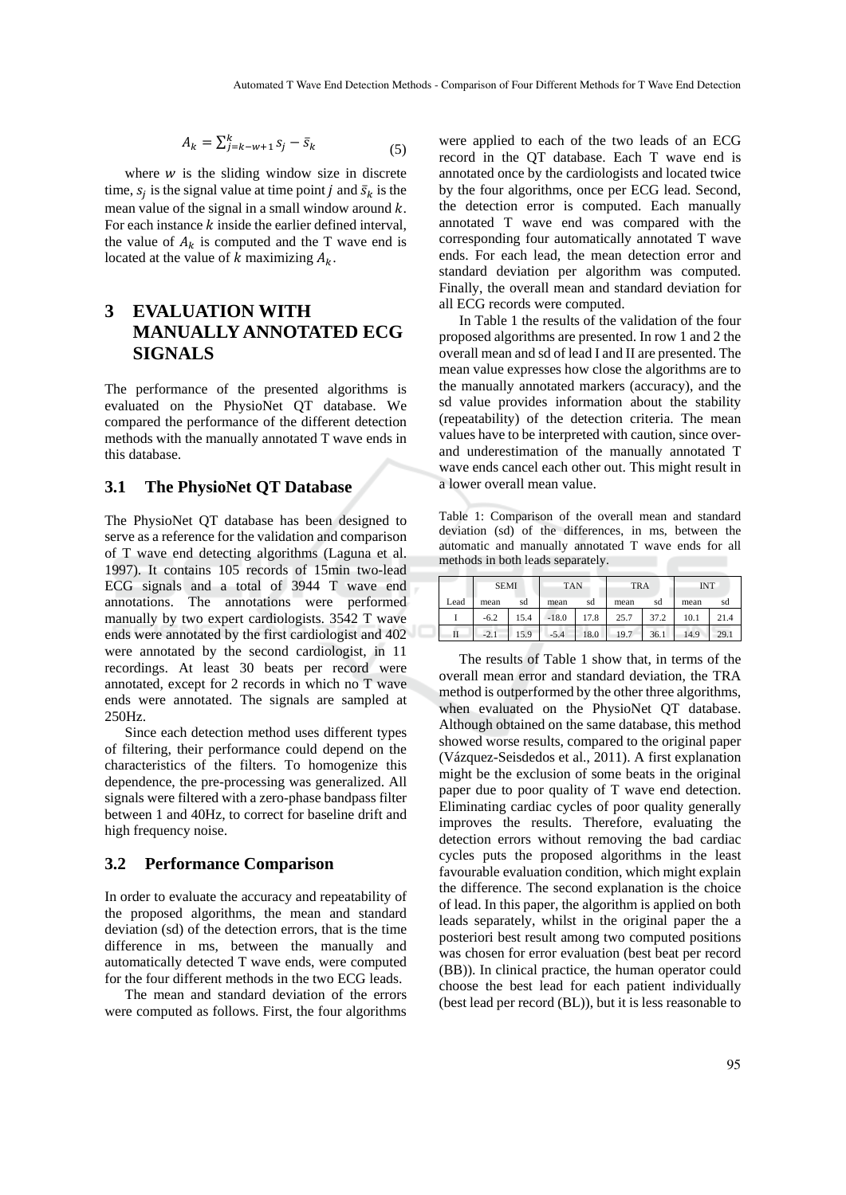$$
A_k = \sum_{j=k-w+1}^k s_j - \bar{s}_k
$$
\n<sup>(5)</sup>

where  $w$  is the sliding window size in discrete time,  $s_i$  is the signal value at time point *j* and  $\bar{s}_k$  is the mean value of the signal in a small window around  $k$ . For each instance  $k$  inside the earlier defined interval, the value of  $A_k$  is computed and the T wave end is located at the value of k maximizing  $A_k$ .

# **3 EVALUATION WITH MANUALLY ANNOTATED ECG SIGNALS**

The performance of the presented algorithms is evaluated on the PhysioNet QT database. We compared the performance of the different detection methods with the manually annotated T wave ends in this database.

## **3.1 The PhysioNet QT Database**

The PhysioNet QT database has been designed to serve as a reference for the validation and comparison of T wave end detecting algorithms (Laguna et al. 1997). It contains 105 records of 15min two-lead ECG signals and a total of 3944 T wave end annotations. The annotations were performed manually by two expert cardiologists. 3542 T wave ends were annotated by the first cardiologist and 402 were annotated by the second cardiologist, in 11 recordings. At least 30 beats per record were annotated, except for 2 records in which no T wave ends were annotated. The signals are sampled at 250Hz.

Since each detection method uses different types of filtering, their performance could depend on the characteristics of the filters. To homogenize this dependence, the pre-processing was generalized. All signals were filtered with a zero-phase bandpass filter between 1 and 40Hz, to correct for baseline drift and high frequency noise.

#### **3.2 Performance Comparison**

In order to evaluate the accuracy and repeatability of the proposed algorithms, the mean and standard deviation (sd) of the detection errors, that is the time difference in ms, between the manually and automatically detected T wave ends, were computed for the four different methods in the two ECG leads.

The mean and standard deviation of the errors were computed as follows. First, the four algorithms

were applied to each of the two leads of an ECG record in the QT database. Each T wave end is annotated once by the cardiologists and located twice by the four algorithms, once per ECG lead. Second, the detection error is computed. Each manually annotated T wave end was compared with the corresponding four automatically annotated T wave ends. For each lead, the mean detection error and standard deviation per algorithm was computed. Finally, the overall mean and standard deviation for all ECG records were computed.

In Table 1 the results of the validation of the four proposed algorithms are presented. In row 1 and 2 the overall mean and sd of lead I and II are presented. The mean value expresses how close the algorithms are to the manually annotated markers (accuracy), and the sd value provides information about the stability (repeatability) of the detection criteria. The mean values have to be interpreted with caution, since overand underestimation of the manually annotated T wave ends cancel each other out. This might result in a lower overall mean value.

Table 1: Comparison of the overall mean and standard deviation (sd) of the differences, in ms, between the automatic and manually annotated T wave ends for all methods in both leads separately.

|      | <b>SEMI</b> |      | <b>TAN</b> |      | <b>TRA</b> |      | <b>INT</b> |      |
|------|-------------|------|------------|------|------------|------|------------|------|
| Lead | mean        | sd   | mean       | sd   | mean       | sd   | mean       | sd   |
|      | $-6.2$      | 15.4 | $-18.0$    | 17.8 | 25.7       | 37.2 | 10.1       | 21.4 |
| П    | $-2.1$      | 15.9 | $-5.4$     | 18.0 | 19.7       | 36.1 | 14.9       | 29.1 |

The results of Table 1 show that, in terms of the overall mean error and standard deviation, the TRA method is outperformed by the other three algorithms, when evaluated on the PhysioNet QT database. Although obtained on the same database, this method showed worse results, compared to the original paper (Vázquez-Seisdedos et al., 2011). A first explanation might be the exclusion of some beats in the original paper due to poor quality of T wave end detection. Eliminating cardiac cycles of poor quality generally improves the results. Therefore, evaluating the detection errors without removing the bad cardiac cycles puts the proposed algorithms in the least favourable evaluation condition, which might explain the difference. The second explanation is the choice of lead. In this paper, the algorithm is applied on both leads separately, whilst in the original paper the a posteriori best result among two computed positions was chosen for error evaluation (best beat per record (BB)). In clinical practice, the human operator could choose the best lead for each patient individually (best lead per record (BL)), but it is less reasonable to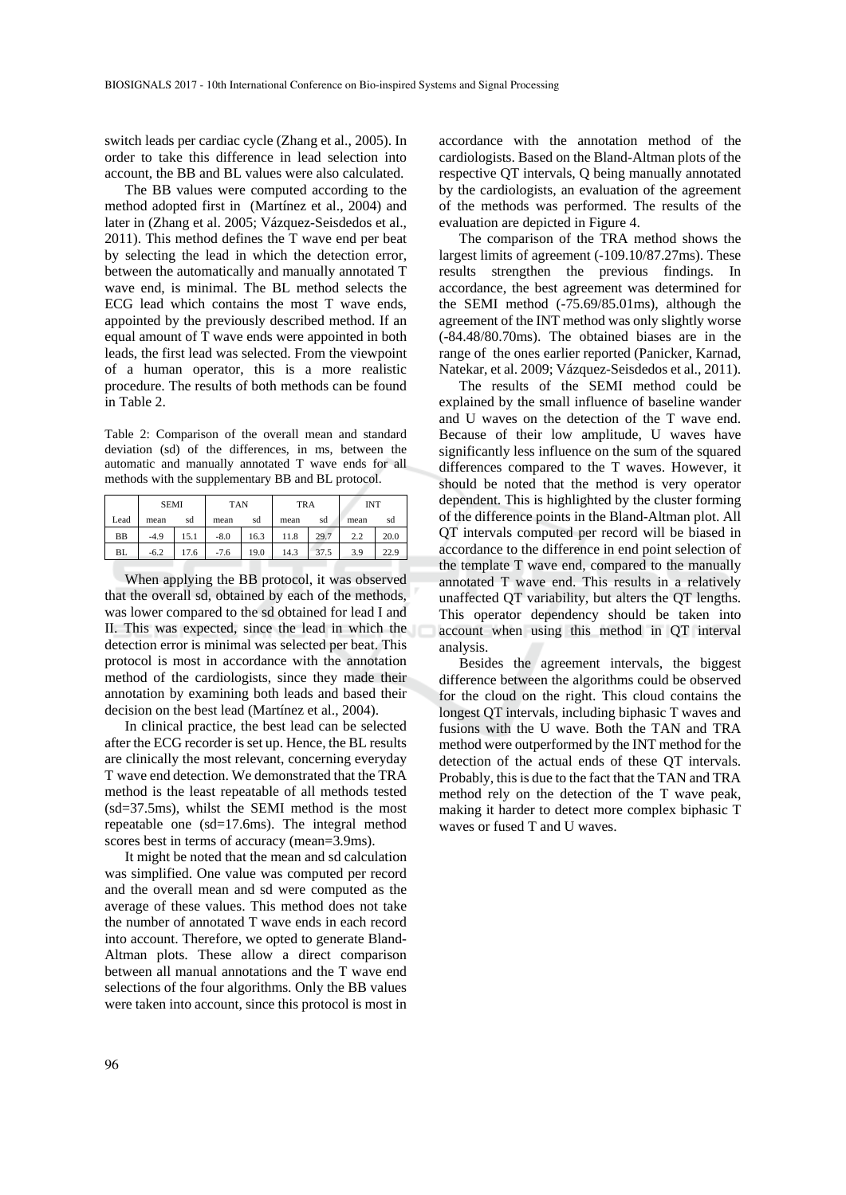switch leads per cardiac cycle (Zhang et al., 2005). In order to take this difference in lead selection into account, the BB and BL values were also calculated.

The BB values were computed according to the method adopted first in (Martínez et al., 2004) and later in (Zhang et al. 2005; Vázquez-Seisdedos et al., 2011). This method defines the T wave end per beat by selecting the lead in which the detection error, between the automatically and manually annotated T wave end, is minimal. The BL method selects the ECG lead which contains the most T wave ends, appointed by the previously described method. If an equal amount of T wave ends were appointed in both leads, the first lead was selected. From the viewpoint of a human operator, this is a more realistic procedure. The results of both methods can be found in Table 2.

Table 2: Comparison of the overall mean and standard deviation (sd) of the differences, in ms, between the automatic and manually annotated T wave ends for all methods with the supplementary BB and BL protocol.

|           | <b>SEMI</b> |      | <b>TAN</b> |      | <b>TRA</b> |      | <b>INT</b> |      |
|-----------|-------------|------|------------|------|------------|------|------------|------|
| Lead      | mean        | sd   | mean       | sd   | mean       | sd   | mean       | sd   |
| <b>BB</b> | $-4.9$      | 15.1 | $-8.0$     | 16.3 | 11.8       | 29.7 | 2.2        | 20.0 |
| BL        | $-6.2$      | 17.6 | $-7.6$     | 19.0 | 14.3       | 37.5 | 3.9        | 22.9 |

When applying the BB protocol, it was observed that the overall sd, obtained by each of the methods, was lower compared to the sd obtained for lead I and II. This was expected, since the lead in which the detection error is minimal was selected per beat. This protocol is most in accordance with the annotation method of the cardiologists, since they made their annotation by examining both leads and based their decision on the best lead (Martínez et al., 2004).

In clinical practice, the best lead can be selected after the ECG recorder is set up. Hence, the BL results are clinically the most relevant, concerning everyday T wave end detection. We demonstrated that the TRA method is the least repeatable of all methods tested (sd=37.5ms), whilst the SEMI method is the most repeatable one (sd=17.6ms). The integral method scores best in terms of accuracy (mean=3.9ms).

It might be noted that the mean and sd calculation was simplified. One value was computed per record and the overall mean and sd were computed as the average of these values. This method does not take the number of annotated T wave ends in each record into account. Therefore, we opted to generate Bland-Altman plots. These allow a direct comparison between all manual annotations and the T wave end selections of the four algorithms. Only the BB values were taken into account, since this protocol is most in

accordance with the annotation method of the cardiologists. Based on the Bland-Altman plots of the respective QT intervals, Q being manually annotated by the cardiologists, an evaluation of the agreement of the methods was performed. The results of the evaluation are depicted in Figure 4.

The comparison of the TRA method shows the largest limits of agreement (-109.10/87.27ms). These results strengthen the previous findings. In accordance, the best agreement was determined for the SEMI method (-75.69/85.01ms), although the agreement of the INT method was only slightly worse (-84.48/80.70ms). The obtained biases are in the range of the ones earlier reported (Panicker, Karnad, Natekar, et al. 2009; Vázquez-Seisdedos et al., 2011).

The results of the SEMI method could be explained by the small influence of baseline wander and U waves on the detection of the T wave end. Because of their low amplitude, U waves have significantly less influence on the sum of the squared differences compared to the T waves. However, it should be noted that the method is very operator dependent. This is highlighted by the cluster forming of the difference points in the Bland-Altman plot. All QT intervals computed per record will be biased in accordance to the difference in end point selection of the template T wave end, compared to the manually annotated T wave end. This results in a relatively unaffected QT variability, but alters the QT lengths. This operator dependency should be taken into account when using this method in QT interval analysis.

Besides the agreement intervals, the biggest difference between the algorithms could be observed for the cloud on the right. This cloud contains the longest QT intervals, including biphasic T waves and fusions with the U wave. Both the TAN and TRA method were outperformed by the INT method for the detection of the actual ends of these QT intervals. Probably, this is due to the fact that the TAN and TRA method rely on the detection of the T wave peak, making it harder to detect more complex biphasic T waves or fused T and U waves.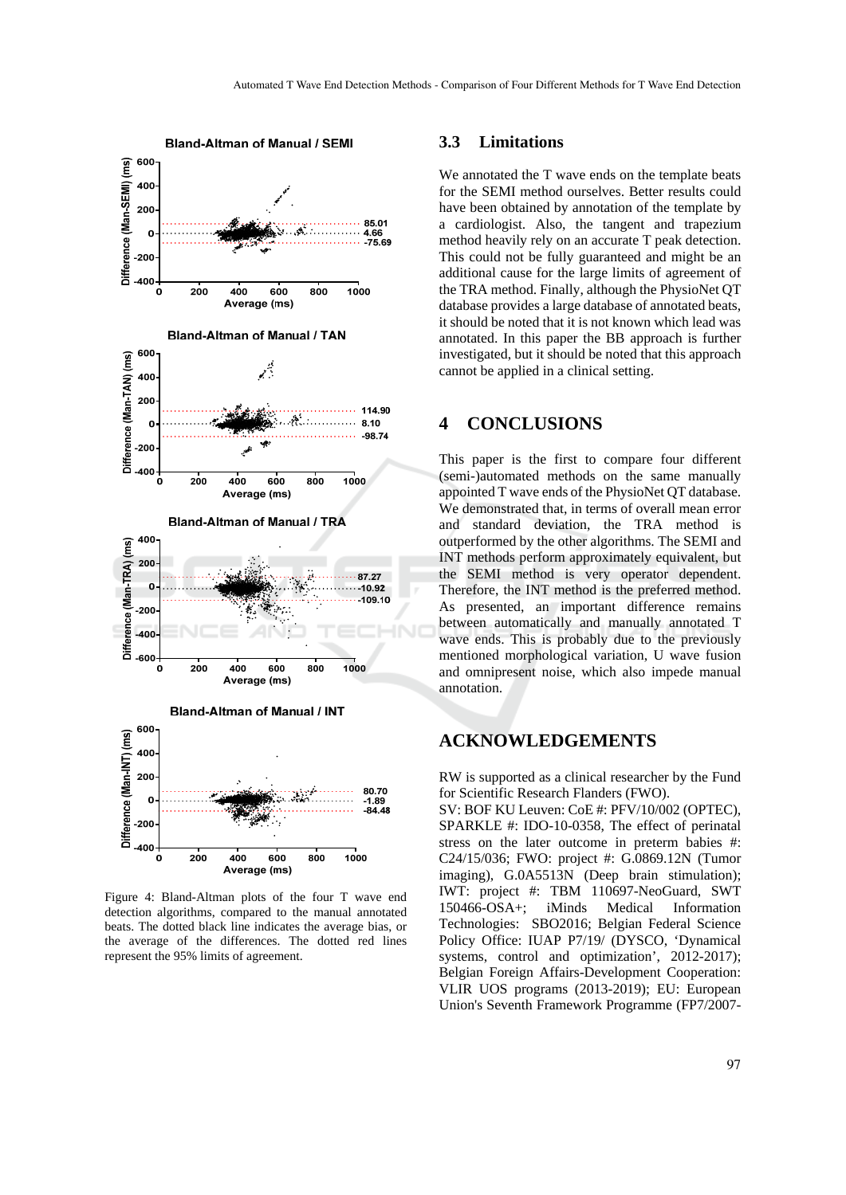

Figure 4: Bland-Altman plots of the four T wave end detection algorithms, compared to the manual annotated beats. The dotted black line indicates the average bias, or the average of the differences. The dotted red lines represent the 95% limits of agreement.

#### **3.3 Limitations**

We annotated the T wave ends on the template beats for the SEMI method ourselves. Better results could have been obtained by annotation of the template by a cardiologist. Also, the tangent and trapezium method heavily rely on an accurate T peak detection. This could not be fully guaranteed and might be an additional cause for the large limits of agreement of the TRA method. Finally, although the PhysioNet QT database provides a large database of annotated beats, it should be noted that it is not known which lead was annotated. In this paper the BB approach is further investigated, but it should be noted that this approach cannot be applied in a clinical setting.

## **4 CONCLUSIONS**

This paper is the first to compare four different (semi-)automated methods on the same manually appointed T wave ends of the PhysioNet QT database. We demonstrated that, in terms of overall mean error and standard deviation, the TRA method is outperformed by the other algorithms. The SEMI and INT methods perform approximately equivalent, but the SEMI method is very operator dependent. Therefore, the INT method is the preferred method. As presented, an important difference remains between automatically and manually annotated T wave ends. This is probably due to the previously mentioned morphological variation, U wave fusion and omnipresent noise, which also impede manual annotation.

## **ACKNOWLEDGEMENTS**

RW is supported as a clinical researcher by the Fund for Scientific Research Flanders (FWO).

SV: BOF KU Leuven: CoE #: PFV/10/002 (OPTEC), SPARKLE #: IDO-10-0358, The effect of perinatal stress on the later outcome in preterm babies #: C24/15/036; FWO: project #: G.0869.12N (Tumor imaging), G.0A5513N (Deep brain stimulation); IWT: project #: TBM 110697-NeoGuard, SWT 150466-OSA+; iMinds Medical Information Technologies: SBO2016; Belgian Federal Science Policy Office: IUAP P7/19/ (DYSCO, 'Dynamical systems, control and optimization', 2012-2017); Belgian Foreign Affairs-Development Cooperation: VLIR UOS programs (2013-2019); EU: European Union's Seventh Framework Programme (FP7/2007